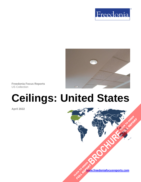



**Freedonia Focus Reports** US Collection

# **Ceilings: United States**

**April 2022**



**[BROCHURE](https://www.freedoniafocusreports.com/Ceilings-United-States-FF60073/?progid=89541) CLICK TO ORDER** 

**FULL REPORT**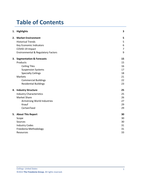# **Table of Contents**

|  | 1. Highlights                                 | 3              |
|--|-----------------------------------------------|----------------|
|  | 2. Market Environment                         | 5              |
|  | <b>Historical Trends</b>                      | 5              |
|  | Key Economic Indicators                       | 6              |
|  | COVID-19 Impact                               | $\overline{7}$ |
|  | <b>Environmental &amp; Regulatory Factors</b> | 9              |
|  | 3. Segmentation & Forecasts                   | 15             |
|  | Products                                      | 15             |
|  | <b>Ceiling Tiles</b>                          | 16             |
|  | <b>Suspension Systems</b>                     | 17             |
|  | <b>Specialty Ceilings</b>                     | 18             |
|  | Markets                                       | 21             |
|  | <b>Commercial Buildings</b>                   | 22             |
|  | <b>Residential Buildings</b>                  | 23             |
|  | 4. Industry Structure                         | 25             |
|  | <b>Industry Characteristics</b>               | 25             |
|  | <b>Market Share</b>                           | 26             |
|  | Armstrong World Industries                    | 27             |
|  | Knauf                                         | 29             |
|  | CertainTeed                                   | 29             |
|  | 5. About This Report                          | 30             |
|  | Scope                                         | 30             |
|  | Sources                                       | 30             |
|  | <b>Industry Codes</b>                         | 31             |
|  | Freedonia Methodology                         | 31             |
|  | Resources                                     | 33             |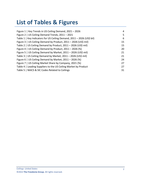# **List of Tables & Figures**

| Figure 1   Key Trends in US Ceiling Demand, 2021 - 2026                | 4  |
|------------------------------------------------------------------------|----|
| Figure 2   US Ceiling Demand Trends, 2011 - 2021                       | 5  |
| Table 1   Key Indicators for US Ceiling Demand, 2011 - 2026 (US\$ bil) | 6  |
| Figure 3   US Ceiling Demand by Product, 2011 - 2026 (US\$ mil)        | 15 |
| Table 2   US Ceiling Demand by Product, 2011 - 2026 (US\$ mil)         | 15 |
| Figure 4   US Ceiling Demand by Product, 2011 - 2026 (%)               | 20 |
| Figure 5   US Ceiling Demand by Market, 2011 - 2026 (US\$ mil)         | 21 |
| Table 3   US Ceiling Demand by Market, 2011 - 2026 (US\$ mil)          | 21 |
| Figure 6   US Ceiling Demand by Market, 2011 - 2026 (%)                | 24 |
| Figure 7   US Ceiling Market Share by Company, 2021 (%)                | 27 |
| Table 4   Leading Suppliers to the US Ceiling Market by Product        | 27 |
| Table 5   NAICS & SIC Codes Related to Ceilings                        | 31 |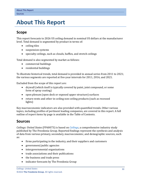# <span id="page-3-0"></span>**5. About This Report**

## <span id="page-3-1"></span>**Scope**

This report forecasts to 2026 US ceiling demand in nominal US dollars at the manufacturer level. Total demand is segmented by product in terms of:

- ceiling tiles
- suspension systems
- specialty ceilings, such as clouds, baffles, and stretch ceilings

Total demand is also segmented by market as follows:

- commercial buildings
- residential buildings

To illustrate historical trends, total demand is provided in annual series from 2011 to 2021; the various segments are reported at five-year intervals for 2011, 2016, and 2021.

Excluded from the scope of this report are:

- drywall (which itself is typically covered by paint, joint compound, or some form of spray coating)
- open plenum (open deck or exposed upper structure) surfaces
- return vents and other in-ceiling non-ceiling products (such as recessed lights)

Key macroeconomic indicators are also provided with quantified trends. Other various topics, including profiles of pertinent leading companies, are covered in this report. A full outline of report items by page is available in the Table of Contents.

## <span id="page-3-2"></span>**Sources**

*Ceilings: United States* (FF60073) is based on *[Ceilings,](http://www.freedoniagroup.com/DocumentDetails.aspx?ReferrerId=FL-FOCUS&studyid=4408)* a comprehensive industry study published by The Freedonia Group. Reported findings represent the synthesis and analysis of data from various primary, secondary, macroeconomic, and demographic sources, such as:

- firms participating in the industry, and their suppliers and customers
- government/public agencies
- intergovernmental organizations
- trade associations and their publications
- the business and trade press
- indicator forecasts by The Freedonia Group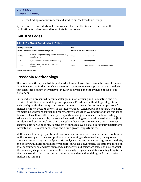| About This Report     |  |  |
|-----------------------|--|--|
| Freedonia Methodology |  |  |

• the findings of other reports and studies by The Freedonia Group

Specific sources and additional resources are listed in the Resources section of this publication for reference and to facilitate further research.

# <span id="page-4-0"></span>**Industry Codes**

<span id="page-4-2"></span>

| Table 5   NAICS & SIC Codes Related to Ceilings                   |                                                                        |                                                         |                                         |  |  |  |
|-------------------------------------------------------------------|------------------------------------------------------------------------|---------------------------------------------------------|-----------------------------------------|--|--|--|
| NAICS/SCIAN 2017<br>North American Industry Classification System |                                                                        | <b>SIC</b><br><b>Standard Industrial Classification</b> |                                         |  |  |  |
| 327993                                                            | Mineral wool products (e.g., board, insulation, tile)<br>manufacturing | 3296                                                    | Mineral wool                            |  |  |  |
| 327420                                                            | Gypsum building products manufacturing                                 | 3275                                                    | Gypsum products                         |  |  |  |
| 321999                                                            | All other miscellaneous wood product<br>manufacturing                  | 2499                                                    | Wood products, not elsewhere classified |  |  |  |

Source: US Census Bureau

# <span id="page-4-1"></span>**Freedonia Methodology**

The Freedonia Group, a subsidiary of MarketResearch.com, has been in business for more than 30 years and in that time has developed a comprehensive approach to data analysis that takes into account the variety of industries covered and the evolving needs of our customers.

Every industry presents different challenges in market sizing and forecasting, and this requires flexibility in methodology and approach. Freedonia methodology integrates a variety of quantitative and qualitative techniques to present the best overall picture of a market's current position as well as its future outlook: When published data are available, we make sure they are correct and representative of reality. We understand that published data often have flaws either in scope or quality, and adjustments are made accordingly. Where no data are available, we use various methodologies to develop market sizing (both top-down and bottom-up) and then triangulate those results to come up with the most accurate data series possible. Regardless of approach, we also talk to industry participants to verify both historical perspective and future growth opportunities.

Methods used in the preparation of Freedonia market research include, but are not limited to, the following activities: comprehensive data mining and evaluation, primary research, consensus forecasting and analysis, ratio analysis using key indicators, regression analysis, end use growth indices and intensity factors, purchase power parity adjustments for global data, consumer and end user surveys, market share and corporate sales analysis, product lifespan analysis, product or market life cycle analysis, graphical data modeling, long-term historical trend analysis, bottom-up and top-down demand modeling, and comparative market size ranking.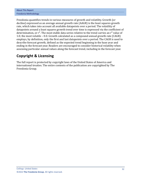| <b>About This Report</b> |
|--------------------------|
| Freedonia Methodology    |

Freedonia quantifies trends in various measures of growth and volatility. Growth (or decline) expressed as an average annual growth rate (AAGR) is the least squares growth rate, which takes into account all available datapoints over a period. The volatility of datapoints around a least squares growth trend over time is expressed via the coefficient of determination, or  $r^2$ . The most stable data series relative to the trend carries an  $r^2$  value of 1.0; the most volatile – 0.0. Growth calculated as a compound annual growth rate (CAGR) employs, by definition, only the first and last datapoints over a period. The CAGR is used to describe forecast growth, defined as the expected trend beginning in the base year and ending in the forecast year. Readers are encouraged to consider historical volatility when assessing particular annual values along the forecast trend, including in the forecast year.

# **Copyright & Licensing**

The full report is protected by copyright laws of the United States of America and international treaties. The entire contents of the publication are copyrighted by The Freedonia Group.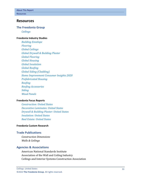## <span id="page-6-0"></span>**Resources**

#### **The Freedonia Group**

*[Ceilings](http://www.freedoniagroup.com/DocumentDetails.aspx?ReferrerId=FL-FOCUS&studyid=4408)*

#### **[Freedonia Industry Studies](http://www.freedoniagroup.com/Home.aspx?ReferrerId=FL-Focus)**

*[Building Envelope](https://www.freedoniagroup.com/DocumentDetails.aspx?ReferrerId=FL-FOCUS&StudyId=3725) [Flooring](https://www.freedoniagroup.com/DocumentDetails.aspx?ReferrerId=FL-FOCUS&StudyId=3964) [Global Ceilings](https://www.freedoniagroup.com/DocumentDetails.aspx?ReferrerId=FL-FOCUS&StudyId=4209) [Global Drywall & Building Plaster](https://www.freedoniagroup.com/DocumentDetails.aspx?ReferrerId=FL-FOCUS&StudyId=3768) [Global Flooring](https://www.freedoniagroup.com/DocumentDetails.aspx?ReferrerId=FL-FOCUS&StudyId=3768) [Global Housing](https://www.freedoniagroup.com/DocumentDetails.aspx?ReferrerId=FL-FOCUS&StudyId=4331) [Global Insulation](https://www.freedoniagroup.com/DocumentDetails.aspx?ReferrerId=FL-FOCUS&StudyId=4267) [Global Roofing](https://www.freedoniagroup.com/DocumentDetails.aspx?ReferrerId=FL-FOCUS&StudyId=4402) [Global Siding \(Cladding\)](https://www.freedoniagroup.com/DocumentDetails.aspx?ReferrerId=FL-FOCUS&StudyId=3874) [Home Improvement Consumer Insights 2020](https://www.freedoniagroup.com/DocumentDetails.aspx?ReferrerId=FL-FOCUS&StudyId=3895) [Prefabricated Housing](https://www.freedoniagroup.com/DocumentDetails.aspx?ReferrerId=FL-FOCUS&StudyId=3814) [Roofing](https://www.freedoniagroup.com/DocumentDetails.aspx?ReferrerId=FL-FOCUS&StudyId=4216) [Roofing Accessories](https://www.freedoniagroup.com/DocumentDetails.aspx?ReferrerId=FL-FOCUS&StudyId=4291) [Siding](https://www.freedoniagroup.com/DocumentDetails.aspx?ReferrerId=FL-FOCUS&StudyId=4152) [Wood Panels](https://www.freedoniagroup.com/DocumentDetails.aspx?ReferrerId=FL-FOCUS&StudyId=3857)*

#### **[Freedonia Focus Reports](https://www.freedoniafocusreports.com/redirect.asp?progid=89534&url=/)**

*[Construction: United States](https://www.freedoniafocusreports.com/Construction-United-States-FF60054/?progid=89534) [Decorative Laminates: United States](https://www.freedoniafocusreports.com/Decorative-Laminates-United-States-FF60027/?progid=89534) [Drywall & Building Plaster: United States](https://www.freedoniafocusreports.com/Drywall-Building-Plaster-United-States-FF60060/?progid=89534) [Insulation: United States](https://www.freedoniafocusreports.com/Insulation-United-States-FF60026/?progid=89534) [Real Estate: United States](https://www.freedoniafocusreports.com/Real-Estate-United-States-FF95081/?progid=89534)*

#### **[Freedonia Custom Research](http://www.freedoniagroup.com/CustomResearch.aspx?ReferrerId=FL-Focus)**

### **Trade Publications**

*Construction Dimensions Walls & Ceilings*

### **Agencies & Associations**

American National Standards Institute Association of the Wall and Ceiling Industry Ceilings and Interior Systems Construction Association